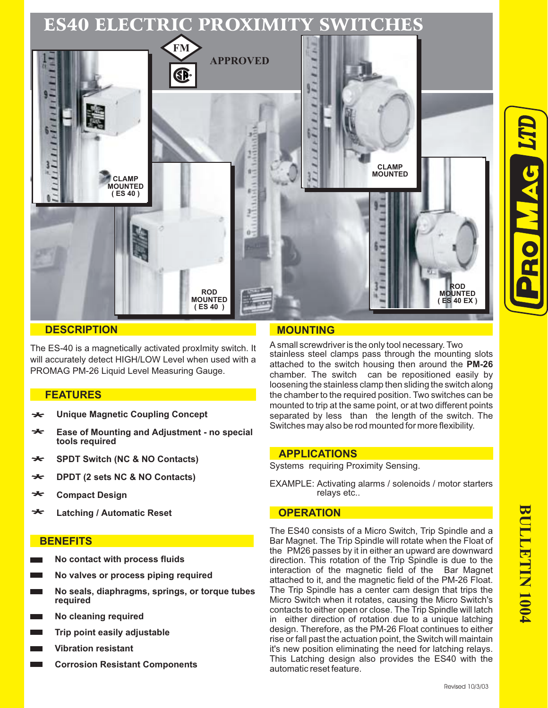

#### **DESCRIPTION**

The ES-40 is a magnetically activated proxImity switch. It will accurately detect HIGH/LOW Level when used with a PROMAG PM-26 Liquid Level Measuring Gauge.

#### **FEATURES**

- **Unique Magnetic Coupling Concept** \*<br>\*
- **Ease of Mounting and Adjustment no special tools required** \*<br>\*
- **SPDT Switch (NC & NO Contacts)** \*
- **DPDT (2 sets NC & NO Contacts)** \* \* \*
- **Compact Design** \* \* \*
- **Latching / Automatic Reset** \* \*

### **BENEFITS**

- **No contact with process fluids**
- **No valves or process piping required**
- **No seals, diaphragms, springs, or torque tubes required**
- **No cleaning required**
- **Trip point easily adjustable**
- **Vibration resistant**
- **Corrosion Resistant Components**

# **MOUNTING**

A small screwdriver is the only tool necessary. Two stainless steel clamps pass through the mounting slots attached to the switch housing then around the **PM-26** chamber. The switch can be repositioned easily by loosening the stainless clamp then sliding the switch along the chamber to the required position. Two switches can be mounted to trip at the same point, or at two different points separated by less than the length of the switch. The Switches may also be rod mounted for more flexibility.

#### **APPLICATIONS**

Systems requiring Proximity Sensing.

EXAMPLE: Activating alarms / solenoids / motor starters relays etc..

#### **OPERATION**

The ES40 consists of a Micro Switch, Trip Spindle and a Bar Magnet. The Trip Spindle will rotate when the Float of the PM26 passes by it in either an upward are downward direction. This rotation of the Trip Spindle is due to the interaction of the magnetic field of the Bar Magnet attached to it, and the magnetic field of the PM-26 Float. The Trip Spindle has a center cam design that trips the Micro Switch when it rotates, causing the Micro Switch's contacts to either open or close. The Trip Spindle will latch in either direction of rotation due to a unique latching design. Therefore, as the PM-26 Float continues to either rise or fall past the actuation point, the Switch will maintain it's new position eliminating the need for latching relays. This Latching design also provides the ES40 with the automatic reset feature.

**LTD**